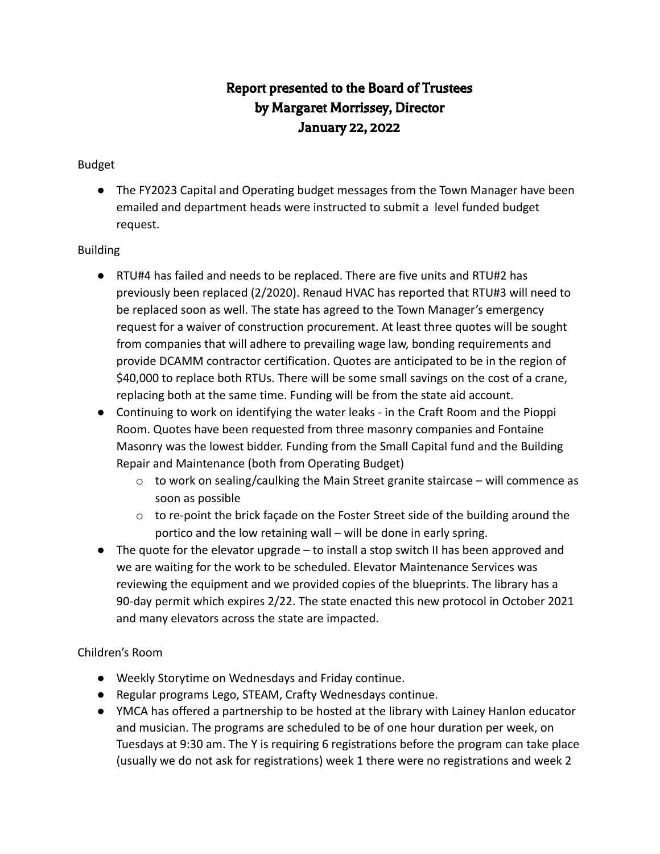# Report presented to the Board of Trustees by Margaret Morrissey, Director January 22, 2022

## Budget

● The FY2023 Capital and Operating budget messages from the Town Manager have been emailed and department heads were instructed to submit a level funded budget request.

#### Building

- RTU#4 has failed and needs to be replaced. There are five units and RTU#2 has previously been replaced (2/2020). Renaud HVAC has reported that RTU#3 will need to be replaced soon as well. The state has agreed to the Town Manager's emergency request for a waiver of construction procurement. At least three quotes will be sought from companies that will adhere to prevailing wage law, bonding requirements and provide DCAMM contractor certification. Quotes are anticipated to be in the region of \$40,000 to replace both RTUs. There will be some small savings on the cost of a crane, replacing both at the same time. Funding will be from the state aid account.
- Continuing to work on identifying the water leaks in the Craft Room and the Pioppi Room. Quotes have been requested from three masonry companies and Fontaine Masonry was the lowest bidder. Funding from the Small Capital fund and the Building Repair and Maintenance (both from Operating Budget)
	- o to work on sealing/caulking the Main Street granite staircase will commence as soon as possible
	- o to re-point the brick façade on the Foster Street side of the building around the portico and the low retaining wall – will be done in early spring.
- The quote for the elevator upgrade to install a stop switch II has been approved and we are waiting for the work to be scheduled. Elevator Maintenance Services was reviewing the equipment and we provided copies of the blueprints. The library has a 90-day permit which expires 2/22. The state enacted this new protocol in October 2021 and many elevators across the state are impacted.

## Children's Room

- Weekly Storytime on Wednesdays and Friday continue.
- Regular programs Lego, STEAM, Crafty Wednesdays continue.
- YMCA has offered a partnership to be hosted at the library with Lainey Hanlon educator and musician. The programs are scheduled to be of one hour duration per week, on Tuesdays at 9:30 am. The Y is requiring 6 registrations before the program can take place (usually we do not ask for registrations) week 1 there were no registrations and week 2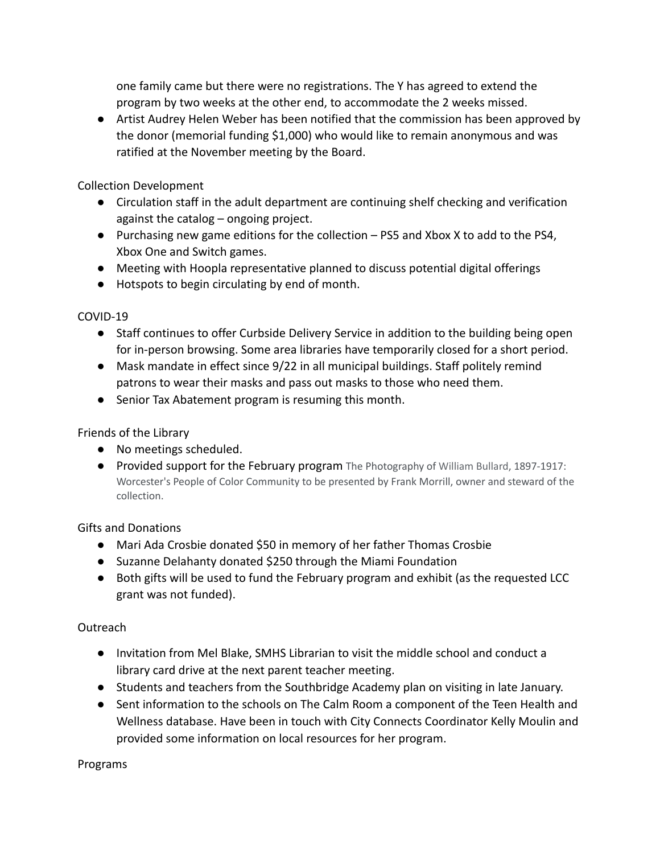one family came but there were no registrations. The Y has agreed to extend the program by two weeks at the other end, to accommodate the 2 weeks missed.

● Artist Audrey Helen Weber has been notified that the commission has been approved by the donor (memorial funding \$1,000) who would like to remain anonymous and was ratified at the November meeting by the Board.

Collection Development

- Circulation staff in the adult department are continuing shelf checking and verification against the catalog – ongoing project.
- Purchasing new game editions for the collection PS5 and Xbox X to add to the PS4, Xbox One and Switch games.
- Meeting with Hoopla representative planned to discuss potential digital offerings
- Hotspots to begin circulating by end of month.

COVID-19

- Staff continues to offer Curbside Delivery Service in addition to the building being open for in-person browsing. Some area libraries have temporarily closed for a short period.
- Mask mandate in effect since 9/22 in all municipal buildings. Staff politely remind patrons to wear their masks and pass out masks to those who need them.
- Senior Tax Abatement program is resuming this month.

Friends of the Library

- No meetings scheduled.
- Provided support for the February program The Photography of William Bullard, 1897-1917: Worcester's People of Color Community to be presented by Frank Morrill, owner and steward of the collection.

Gifts and Donations

- Mari Ada Crosbie donated \$50 in memory of her father Thomas Crosbie
- Suzanne Delahanty donated \$250 through the Miami Foundation
- Both gifts will be used to fund the February program and exhibit (as the requested LCC grant was not funded).

# Outreach

- Invitation from Mel Blake, SMHS Librarian to visit the middle school and conduct a library card drive at the next parent teacher meeting.
- Students and teachers from the Southbridge Academy plan on visiting in late January.
- Sent information to the schools on The Calm Room a component of the Teen Health and Wellness database. Have been in touch with City Connects Coordinator Kelly Moulin and provided some information on local resources for her program.

Programs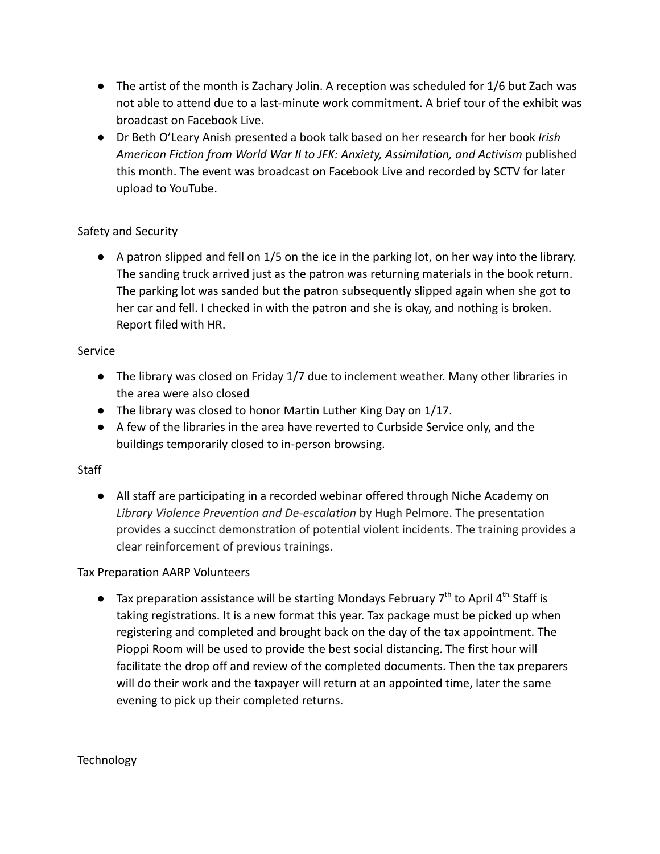- The artist of the month is Zachary Jolin. A reception was scheduled for 1/6 but Zach was not able to attend due to a last-minute work commitment. A brief tour of the exhibit was broadcast on Facebook Live.
- Dr Beth O'Leary Anish presented a book talk based on her research for her book *[Irish](https://www.google.com/search?rlz=1C1ONGR_enUS988US989&sxsrf=AOaemvLcdqiWNSQ683SsCEhHJ4abLkl56w:1642881139571&q=Irish+American+Fiction+from+World+War+II+to+JFK:+Anxiety,+Assimilation,+and+Activism+Beth+O%E2%80%99Leary+Anish&stick=H4sIAAAAAAAAAONgVuLVT9c3NCy0MDUyLMytesRowS3w8sc9YSn9SWtOXmPU5OIKzsgvd80rySypFJLmYoOyBKX4uVB18ixizfQsyizOUHDMTS3KTE7MU3DLTC7JzM9TSCvKz1UIzy_KSVEITyxS8PRUKMlX8HLztlJwzKvITC2p1FFwLC7OzM3MSQSp11FIzEtRcATqLcsszlVwSi3JUPB_1DDTJzWxqBKoBWgHAKUURCG4AAAA&sa=X&ved=2ahUKEwj4h-2Vkcb1AhUFlGoFHYOWBJgQzIcDKAB6BAgOEAE) [American Fiction from World War II to JFK: Anxiety, Assimilation, and Activism](https://www.google.com/search?rlz=1C1ONGR_enUS988US989&sxsrf=AOaemvLcdqiWNSQ683SsCEhHJ4abLkl56w:1642881139571&q=Irish+American+Fiction+from+World+War+II+to+JFK:+Anxiety,+Assimilation,+and+Activism+Beth+O%E2%80%99Leary+Anish&stick=H4sIAAAAAAAAAONgVuLVT9c3NCy0MDUyLMytesRowS3w8sc9YSn9SWtOXmPU5OIKzsgvd80rySypFJLmYoOyBKX4uVB18ixizfQsyizOUHDMTS3KTE7MU3DLTC7JzM9TSCvKz1UIzy_KSVEITyxS8PRUKMlX8HLztlJwzKvITC2p1FFwLC7OzM3MSQSp11FIzEtRcATqLcsszlVwSi3JUPB_1DDTJzWxqBKoBWgHAKUURCG4AAAA&sa=X&ved=2ahUKEwj4h-2Vkcb1AhUFlGoFHYOWBJgQzIcDKAB6BAgOEAE)* published this month. The event was broadcast on Facebook Live and recorded by SCTV for later upload to YouTube.

## Safety and Security

● A patron slipped and fell on 1/5 on the ice in the parking lot, on her way into the library. The sanding truck arrived just as the patron was returning materials in the book return. The parking lot was sanded but the patron subsequently slipped again when she got to her car and fell. I checked in with the patron and she is okay, and nothing is broken. Report filed with HR.

#### Service

- The library was closed on Friday 1/7 due to inclement weather. Many other libraries in the area were also closed
- The library was closed to honor Martin Luther King Day on 1/17.
- A few of the libraries in the area have reverted to Curbside Service only, and the buildings temporarily closed to in-person browsing.

## **Staff**

● All staff are participating in a recorded webinar offered through Niche Academy on *Library Violence Prevention and De-escalation* by Hugh Pelmore. The presentation provides a succinct demonstration of potential violent incidents. The training provides a clear reinforcement of previous trainings.

## Tax Preparation AARP Volunteers

 $\bullet$  Tax preparation assistance will be starting Mondays February 7<sup>th</sup> to April 4<sup>th</sup> Staff is taking registrations. It is a new format this year. Tax package must be picked up when registering and completed and brought back on the day of the tax appointment. The Pioppi Room will be used to provide the best social distancing. The first hour will facilitate the drop off and review of the completed documents. Then the tax preparers will do their work and the taxpayer will return at an appointed time, later the same evening to pick up their completed returns.